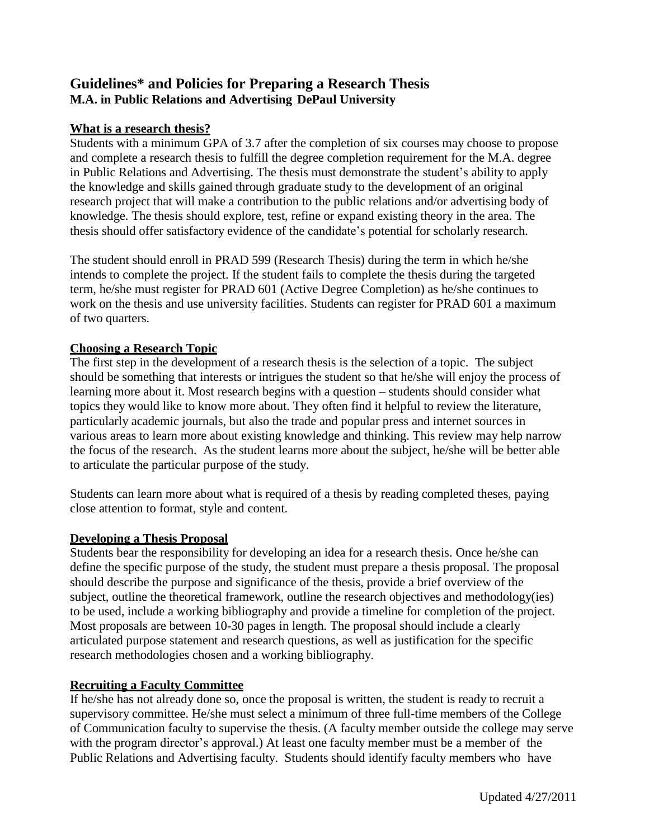# **Guidelines\* and Policies for Preparing a Research Thesis M.A. in Public Relations and Advertising DePaul University**

### **What is a research thesis?**

Students with a minimum GPA of 3.7 after the completion of six courses may choose to propose and complete a research thesis to fulfill the degree completion requirement for the M.A. degree in Public Relations and Advertising. The thesis must demonstrate the student's ability to apply the knowledge and skills gained through graduate study to the development of an original research project that will make a contribution to the public relations and/or advertising body of knowledge. The thesis should explore, test, refine or expand existing theory in the area. The thesis should offer satisfactory evidence of the candidate's potential for scholarly research.

The student should enroll in PRAD 599 (Research Thesis) during the term in which he/she intends to complete the project. If the student fails to complete the thesis during the targeted term, he/she must register for PRAD 601 (Active Degree Completion) as he/she continues to work on the thesis and use university facilities. Students can register for PRAD 601 a maximum of two quarters.

## **Choosing a Research Topic**

The first step in the development of a research thesis is the selection of a topic. The subject should be something that interests or intrigues the student so that he/she will enjoy the process of learning more about it. Most research begins with a question – students should consider what topics they would like to know more about. They often find it helpful to review the literature, particularly academic journals, but also the trade and popular press and internet sources in various areas to learn more about existing knowledge and thinking. This review may help narrow the focus of the research. As the student learns more about the subject, he/she will be better able to articulate the particular purpose of the study.

Students can learn more about what is required of a thesis by reading completed theses, paying close attention to format, style and content.

### **Developing a Thesis Proposal**

Students bear the responsibility for developing an idea for a research thesis. Once he/she can define the specific purpose of the study, the student must prepare a thesis proposal. The proposal should describe the purpose and significance of the thesis, provide a brief overview of the subject, outline the theoretical framework, outline the research objectives and methodology(ies) to be used, include a working bibliography and provide a timeline for completion of the project. Most proposals are between 10-30 pages in length. The proposal should include a clearly articulated purpose statement and research questions, as well as justification for the specific research methodologies chosen and a working bibliography.

### **Recruiting a Faculty Committee**

If he/she has not already done so, once the proposal is written, the student is ready to recruit a supervisory committee. He/she must select a minimum of three full-time members of the College of Communication faculty to supervise the thesis. (A faculty member outside the college may serve with the program director's approval.) At least one faculty member must be a member of the Public Relations and Advertising faculty. Students should identify faculty members who have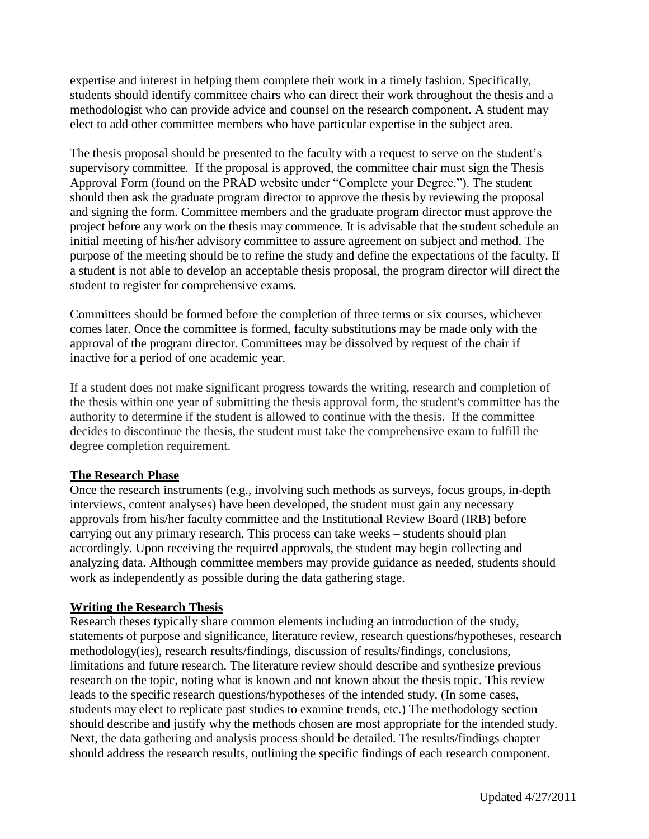expertise and interest in helping them complete their work in a timely fashion. Specifically, students should identify committee chairs who can direct their work throughout the thesis and a methodologist who can provide advice and counsel on the research component. A student may elect to add other committee members who have particular expertise in the subject area.

The thesis proposal should be presented to the faculty with a request to serve on the student's supervisory committee. If the proposal is approved, the committee chair must sign the Thesis Approval Form (found on the PRAD website under "Complete your Degree."). The student should then ask the graduate program director to approve the thesis by reviewing the proposal and signing the form. Committee members and the graduate program director must approve the project before any work on the thesis may commence. It is advisable that the student schedule an initial meeting of his/her advisory committee to assure agreement on subject and method. The purpose of the meeting should be to refine the study and define the expectations of the faculty. If a student is not able to develop an acceptable thesis proposal, the program director will direct the student to register for comprehensive exams.

Committees should be formed before the completion of three terms or six courses, whichever comes later. Once the committee is formed, faculty substitutions may be made only with the approval of the program director. Committees may be dissolved by request of the chair if inactive for a period of one academic year.

If a student does not make significant progress towards the writing, research and completion of the thesis within one year of submitting the thesis approval form, the student's committee has the authority to determine if the student is allowed to continue with the thesis. If the committee decides to discontinue the thesis, the student must take the comprehensive exam to fulfill the degree completion requirement.

#### **The Research Phase**

Once the research instruments (e.g., involving such methods as surveys, focus groups, in-depth interviews, content analyses) have been developed, the student must gain any necessary approvals from his/her faculty committee and the Institutional Review Board (IRB) before carrying out any primary research. This process can take weeks – students should plan accordingly. Upon receiving the required approvals, the student may begin collecting and analyzing data. Although committee members may provide guidance as needed, students should work as independently as possible during the data gathering stage.

### **Writing the Research Thesis**

Research theses typically share common elements including an introduction of the study, statements of purpose and significance, literature review, research questions/hypotheses, research methodology(ies), research results/findings, discussion of results/findings, conclusions, limitations and future research. The literature review should describe and synthesize previous research on the topic, noting what is known and not known about the thesis topic. This review leads to the specific research questions/hypotheses of the intended study. (In some cases, students may elect to replicate past studies to examine trends, etc.) The methodology section should describe and justify why the methods chosen are most appropriate for the intended study. Next, the data gathering and analysis process should be detailed. The results/findings chapter should address the research results, outlining the specific findings of each research component.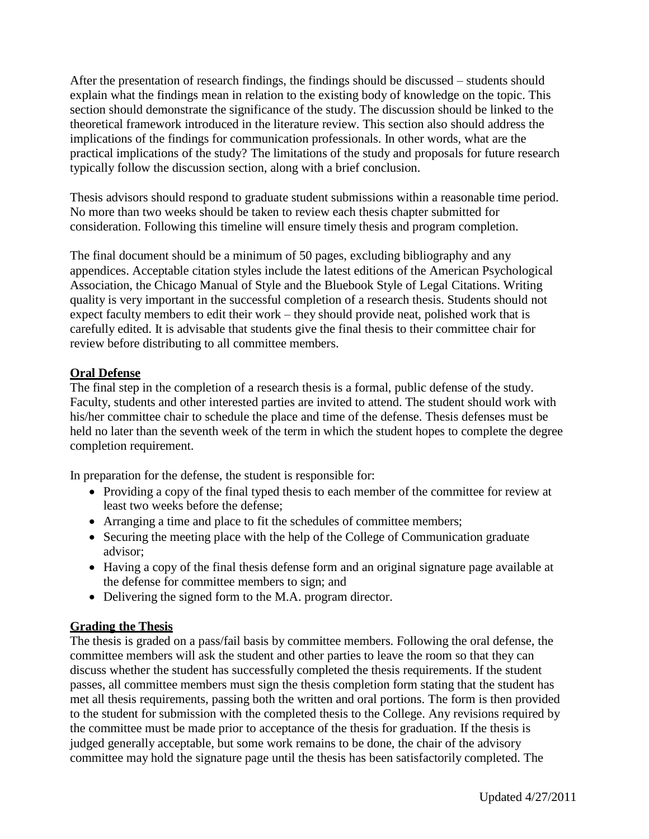After the presentation of research findings, the findings should be discussed – students should explain what the findings mean in relation to the existing body of knowledge on the topic. This section should demonstrate the significance of the study. The discussion should be linked to the theoretical framework introduced in the literature review. This section also should address the implications of the findings for communication professionals. In other words, what are the practical implications of the study? The limitations of the study and proposals for future research typically follow the discussion section, along with a brief conclusion.

Thesis advisors should respond to graduate student submissions within a reasonable time period. No more than two weeks should be taken to review each thesis chapter submitted for consideration. Following this timeline will ensure timely thesis and program completion.

The final document should be a minimum of 50 pages, excluding bibliography and any appendices. Acceptable citation styles include the latest editions of the American Psychological Association, the Chicago Manual of Style and the Bluebook Style of Legal Citations. Writing quality is very important in the successful completion of a research thesis. Students should not expect faculty members to edit their work – they should provide neat, polished work that is carefully edited. It is advisable that students give the final thesis to their committee chair for review before distributing to all committee members.

### **Oral Defense**

The final step in the completion of a research thesis is a formal, public defense of the study. Faculty, students and other interested parties are invited to attend. The student should work with his/her committee chair to schedule the place and time of the defense. Thesis defenses must be held no later than the seventh week of the term in which the student hopes to complete the degree completion requirement.

In preparation for the defense, the student is responsible for:

- Providing a copy of the final typed thesis to each member of the committee for review at least two weeks before the defense;
- Arranging a time and place to fit the schedules of committee members;
- Securing the meeting place with the help of the College of Communication graduate advisor;
- Having a copy of the final thesis defense form and an original signature page available at the defense for committee members to sign; and
- Delivering the signed form to the M.A. program director.

### **Grading the Thesis**

The thesis is graded on a pass/fail basis by committee members. Following the oral defense, the committee members will ask the student and other parties to leave the room so that they can discuss whether the student has successfully completed the thesis requirements. If the student passes, all committee members must sign the thesis completion form stating that the student has met all thesis requirements, passing both the written and oral portions. The form is then provided to the student for submission with the completed thesis to the College. Any revisions required by the committee must be made prior to acceptance of the thesis for graduation. If the thesis is judged generally acceptable, but some work remains to be done, the chair of the advisory committee may hold the signature page until the thesis has been satisfactorily completed. The